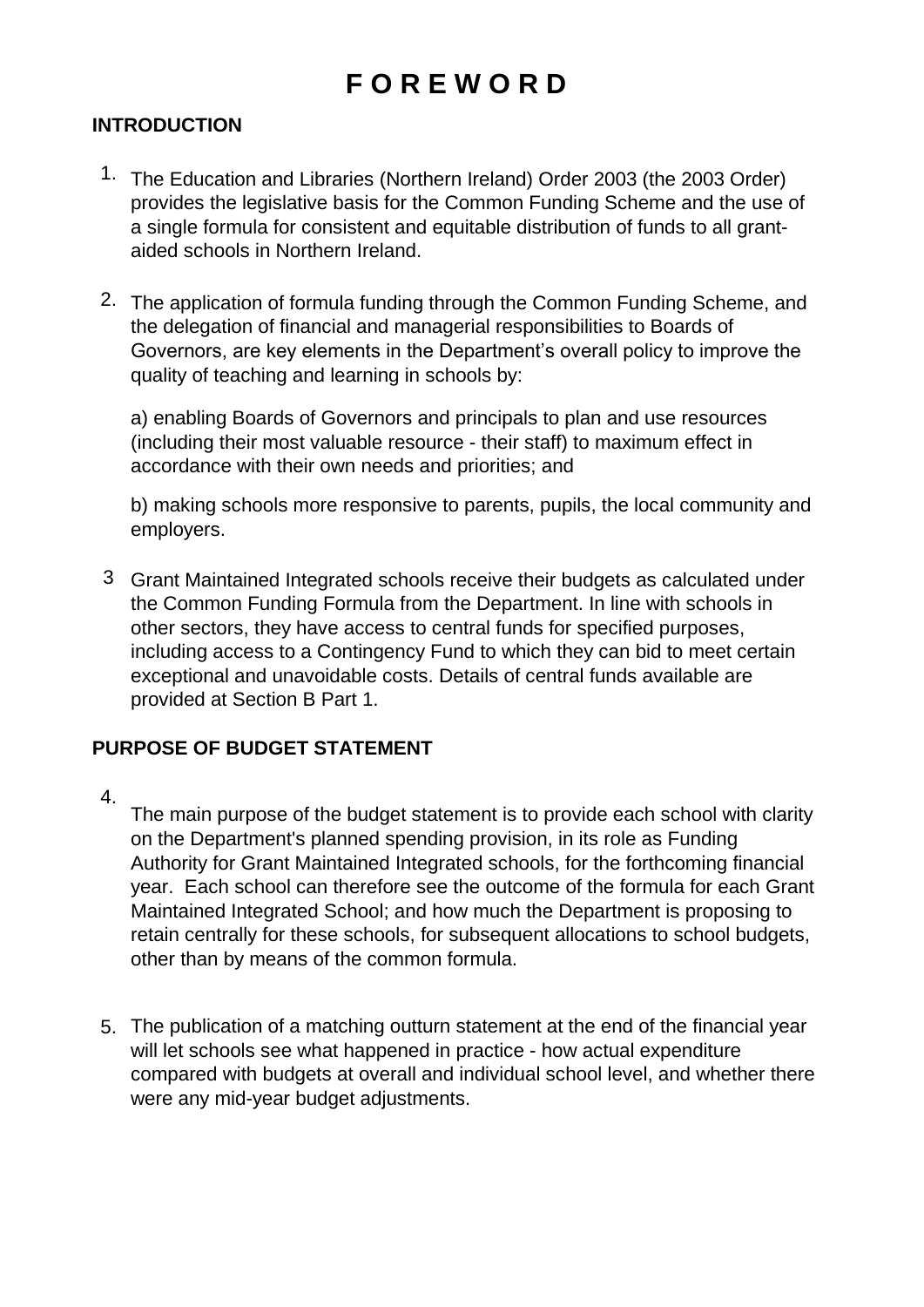# **F O R E W O R D**

#### **INTRODUCTION**

- 1. The Education and Libraries (Northern Ireland) Order 2003 (the 2003 Order) provides the legislative basis for the Common Funding Scheme and the use of a single formula for consistent and equitable distribution of funds to all grantaided schools in Northern Ireland.
- 2. The application of formula funding through the Common Funding Scheme, and the delegation of financial and managerial responsibilities to Boards of Governors, are key elements in the Department's overall policy to improve the quality of teaching and learning in schools by:

a) enabling Boards of Governors and principals to plan and use resources (including their most valuable resource - their staff) to maximum effect in accordance with their own needs and priorities; and

b) making schools more responsive to parents, pupils, the local community and employers.

3 Grant Maintained Integrated schools receive their budgets as calculated under the Common Funding Formula from the Department. In line with schools in other sectors, they have access to central funds for specified purposes, including access to a Contingency Fund to which they can bid to meet certain exceptional and unavoidable costs. Details of central funds available are provided at Section B Part 1.

#### **PURPOSE OF BUDGET STATEMENT**

4.

The main purpose of the budget statement is to provide each school with clarity on the Department's planned spending provision, in its role as Funding Authority for Grant Maintained Integrated schools, for the forthcoming financial year. Each school can therefore see the outcome of the formula for each Grant Maintained Integrated School; and how much the Department is proposing to retain centrally for these schools, for subsequent allocations to school budgets, other than by means of the common formula.

5. The publication of a matching outturn statement at the end of the financial year will let schools see what happened in practice - how actual expenditure compared with budgets at overall and individual school level, and whether there were any mid-year budget adjustments.